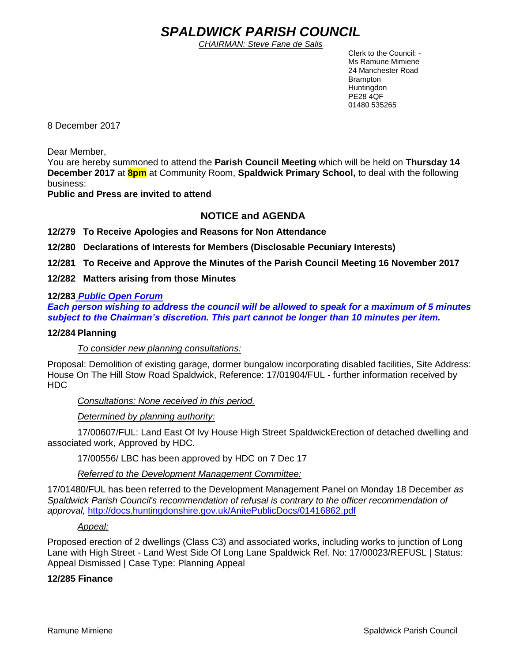# *SPALDWICK PARISH COUNCIL*

*CHAIRMAN: Steve Fane de Salis*

 Clerk to the Council: - Ms Ramune Mimiene 24 Manchester Road Brampton **Huntingdon** PE28 4QF 01480 535265

8 December 2017

Dear Member,

You are hereby summoned to attend the **Parish Council Meeting** which will be held on **Thursday 14 December 2017** at **8pm** at Community Room, **Spaldwick Primary School,** to deal with the following business:

**Public and Press are invited to attend**

# **NOTICE and AGENDA**

**12/279 To Receive Apologies and Reasons for Non Attendance**

**12/280 Declarations of Interests for Members (Disclosable Pecuniary Interests)**

**12/281 To Receive and Approve the Minutes of the Parish Council Meeting 16 November 2017**

**12/282 Matters arising from those Minutes**

# **12/283** *Public Open Forum*

*Each person wishing to address the council will be allowed to speak for a maximum of 5 minutes subject to the Chairman's discretion. This part cannot be longer than 10 minutes per item.* 

# **12/284 Planning**

*To consider new planning consultations:* 

Proposal: Demolition of existing garage, dormer bungalow incorporating disabled facilities, Site Address: House On The Hill Stow Road Spaldwick, Reference: 17/01904/FUL - further information received by HDC

*Consultations: None received in this period.*

*Determined by planning authority:*

17/00607/FUL: Land East Of Ivy House High Street SpaldwickErection of detached dwelling and associated work, Approved by HDC.

17/00556/ LBC has been approved by HDC on 7 Dec 17

*Referred to the Development Management Committee:* 

17/01480/FUL has been referred to the Development Management Panel on Monday 18 December *as Spaldwick Parish Council's recommendation of refusal is contrary to the officer recommendation of approval,* <http://docs.huntingdonshire.gov.uk/AnitePublicDocs/01416862.pdf>

# *Appeal:*

[Proposed erection of 2 dwellings \(Class C3\) and associated works, including works to junction of Long](https://publicaccess.huntingdonshire.gov.uk/online-applications/centralDistribution.do?caseType=Appeal&keyVal=OVLU6DIK00S00)  Lane with High Street - [Land West Side Of Long Lane Spaldwick](https://publicaccess.huntingdonshire.gov.uk/online-applications/centralDistribution.do?caseType=Appeal&keyVal=OVLU6DIK00S00) Ref. No: 17/00023/REFUSL | Status: Appeal Dismissed | Case Type: Planning Appeal

# **12/285 Finance**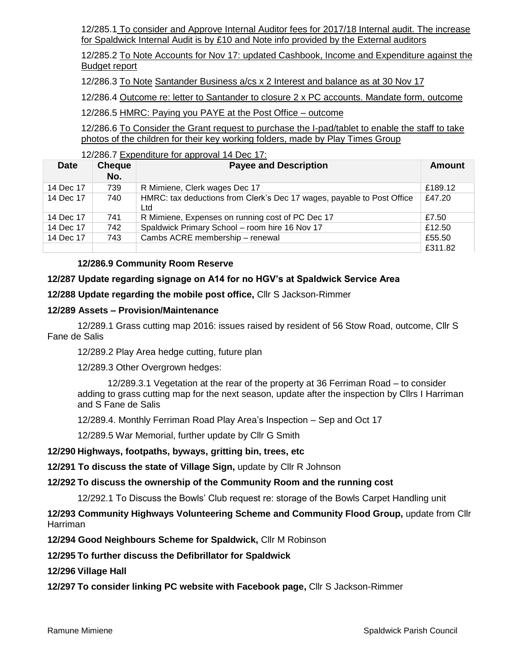12/285.1 To consider and Approve Internal Auditor fees for 2017/18 Internal audit. The increase for Spaldwick Internal Audit is by £10 and Note info provided by the External auditors

12/285.2 To Note Accounts for Nov 17: updated Cashbook, Income and Expenditure against the Budget report

12/286.3 To Note Santander Business a/cs x 2 Interest and balance as at 30 Nov 17

12/286.4 Outcome re: letter to Santander to closure 2 x PC accounts. Mandate form, outcome

12/286.5 HMRC: Paying you PAYE at the Post Office – outcome

12/286.6 To Consider the Grant request to purchase the I-pad/tablet to enable the staff to take photos of the children for their key working folders, made by Play Times Group

12/286.7 Expenditure for approval 14 Dec 17:

| <b>Date</b> | <b>Cheque</b><br>No. | <b>Payee and Description</b>                                                  | Amount  |
|-------------|----------------------|-------------------------------------------------------------------------------|---------|
| 14 Dec 17   | 739                  | R Mimiene, Clerk wages Dec 17                                                 | £189.12 |
| 14 Dec 17   | 740                  | HMRC: tax deductions from Clerk's Dec 17 wages, payable to Post Office<br>Ltd | £47.20  |
| 14 Dec 17   | 741                  | R Mimiene, Expenses on running cost of PC Dec 17                              | £7.50   |
| 14 Dec 17   | 742                  | Spaldwick Primary School - room hire 16 Nov 17                                | £12.50  |
| 14 Dec 17   | 743                  | Cambs ACRE membership - renewal                                               | £55.50  |
|             |                      |                                                                               | £311.82 |

#### **12/286.9 Community Room Reserve**

# **12/287 Update regarding signage on A14 for no HGV's at Spaldwick Service Area**

**12/288 Update regarding the mobile post office,** Cllr S Jackson-Rimmer

#### **12/289 Assets – Provision/Maintenance**

12/289.1 Grass cutting map 2016: issues raised by resident of 56 Stow Road, outcome, Cllr S Fane de Salis

12/289.2 Play Area hedge cutting, future plan

12/289.3 Other Overgrown hedges:

12/289.3.1 Vegetation at the rear of the property at 36 Ferriman Road – to consider adding to grass cutting map for the next season, update after the inspection by Cllrs I Harriman and S Fane de Salis

12/289.4. Monthly Ferriman Road Play Area's Inspection – Sep and Oct 17

12/289.5 War Memorial, further update by Cllr G Smith

#### **12/290 Highways, footpaths, byways, gritting bin, trees, etc**

**12/291 To discuss the state of Village Sign,** update by Cllr R Johnson

**12/292 To discuss the ownership of the Community Room and the running cost** 

12/292.1 To Discuss the Bowls' Club request re: storage of the Bowls Carpet Handling unit

**12/293 Community Highways Volunteering Scheme and Community Flood Group,** update from Cllr Harriman

**12/294 Good Neighbours Scheme for Spaldwick,** Cllr M Robinson

**12/295 To further discuss the Defibrillator for Spaldwick**

**12/296 Village Hall** 

**12/297 To consider linking PC website with Facebook page,** Cllr S Jackson-Rimmer